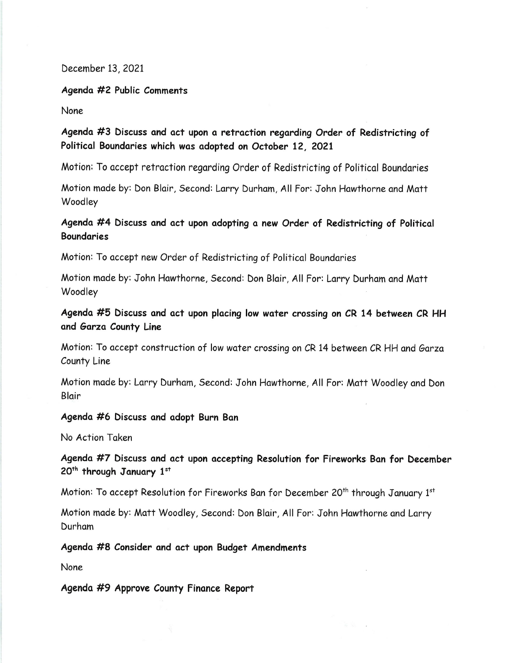December 13, 2021

Agendo #2 Public Comments

None

Agenda #3 Discuss and act upon a retraction regarding Order of Redistricting of Political Boundaries which was adopted on October 12, 2021

Motion: To accept retraction regarding Order of Redistricting of Political Boundaries

Motion made by: Don Blair, Second: Larry Durham, All For: John Hawthorne and Matt Woodley

## Agenda #4 Discuss and act upon adopting a new Order of Redistricting of Political **Boundaries**

Motion: To accept new Order of Redistricting of Political Boundaries

Motion made by: John Hawthorne, Second: Don Blair, All For: Larry Durham and Matt Woodley

Agenda #5 Discuss and act upon placing low water crossing on CR 14 between CR HH and Garza County Line

Motion: To accept construction of low water crossing on CR 14 between CR HH and Garza County Line

Motion made by: Larry Durham, Second: John Hawthorne, All For: Matt Woodley and Don Bloir

#### Agenda #6 Discuss and adopt Burn Ban

No Action Token

Agenda #7 Discuss and act upon accepting Resolution for Fireworks Ban for December 20<sup>th</sup> through January 1st

Motion: To accept Resolution for Fireworks Ban for December 20<sup>th</sup> through January  $1<sup>st</sup>$ 

Motion made by: Matt Woodley, Second: Don Blair, All For: John Hawthorne and Larry Durhom

Agendo #8 Consider ond oct upon Budget Amendments

None

Agenda #9 Approve County Finance Report